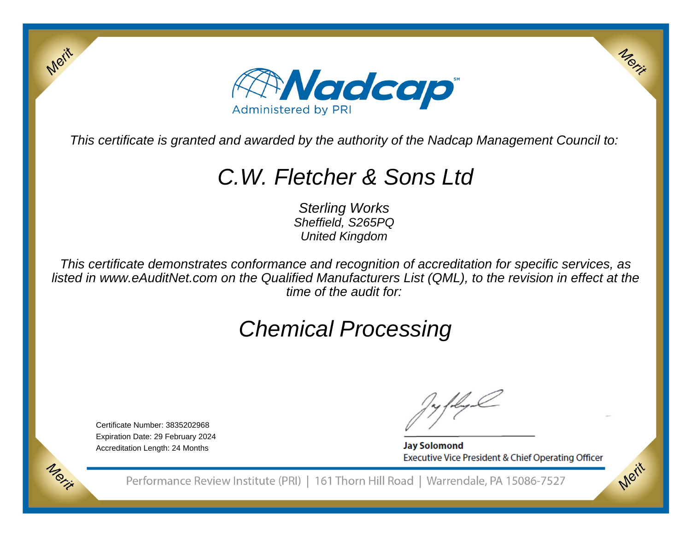

This certificate is granted and awarded by the authority of the Nadcap Management Council to:

# C.W. Fletcher & Sons Ltd

Sterling Works Sheffield, S265PQUnited Kingdom

This certificate demonstrates conformance and recognition of accreditation for specific services, as listed in www.eAuditNet.com on the Qualified Manufacturers List (QML), to the revision in effect at thetime of the audit for:

# Chemical Processing

Certificate Number: 3835202968 Expiration Date: 29 February 2024Accreditation Length: 24 Months

Merit

Morie

**Jay Solomond** Executive Vice President & Chief Operating Officer Merit

Merit

Performance Review Institute (PRI) | 161 Thorn Hill Road | Warrendale, PA 15086-7527